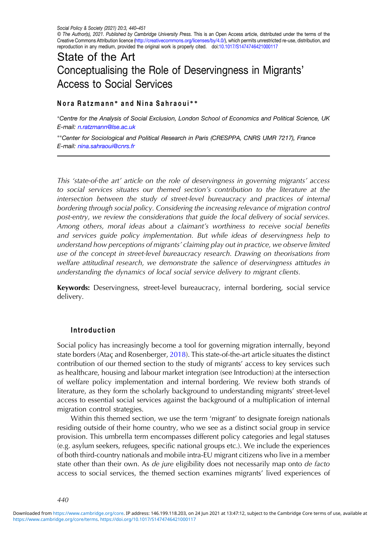© The Author(s), 2021. Published by Cambridge University Press. This is an Open Access article, distributed under the terms of the Creative Commons Attribution licence ([http://creativecommons.org/licenses/by/4.0/\)](http://creativecommons.org/licenses/by/4.0/), which permits unrestricted re-use, distribution, and reproduction in any medium, provided the original work is properly cited. doi:[10.1017/S1474746421000117](https://doi.org/10.1017/S1474746421000117)

# State of the Art Conceptualising the Role of Deservingness in Migrants' Access to Social Services

## Nora Ratzmann<sup>\*</sup> and Nina Sahraoui<sup>\*</sup>\*

∗Centre for the Analysis of Social Exclusion, London School of Economics and Political Science, UK E-mail: [n.ratzmann@lse.ac.uk](mailto:n.ratzmann@lse.ac.uk)

∗∗Center for Sociological and Political Research in Paris (CRESPPA, CNRS UMR 7217), France E-mail: [nina.sahraoui@cnrs.fr](mailto:nina.sahraoui@cnrs.fr)

This 'state-of-the art' article on the role of deservingness in governing migrants' access to social services situates our themed section's contribution to the literature at the intersection between the study of street-level bureaucracy and practices of internal bordering through social policy. Considering the increasing relevance of migration control post-entry, we review the considerations that guide the local delivery of social services. Among others, moral ideas about a claimant's worthiness to receive social benefits and services guide policy implementation. But while ideas of deservingness help to understand how perceptions of migrants' claiming play out in practice, we observe limited use of the concept in street-level bureaucracy research. Drawing on theorisations from welfare attitudinal research, we demonstrate the salience of deservingness attitudes in understanding the dynamics of local social service delivery to migrant clients.

Keywords: Deservingness, street-level bureaucracy, internal bordering, social service delivery.

#### Introduction

Social policy has increasingly become a tool for governing migration internally, beyond state borders (Ataç and Rosenberger, [2018](#page-8-0)). This state-of-the-art article situates the distinct contribution of our themed section to the study of migrants' access to key services such as healthcare, housing and labour market integration (see Introduction) at the intersection of welfare policy implementation and internal bordering. We review both strands of literature, as they form the scholarly background to understanding migrants' street-level access to essential social services against the background of a multiplication of internal migration control strategies.

Within this themed section, we use the term 'migrant' to designate foreign nationals residing outside of their home country, who we see as a distinct social group in service provision. This umbrella term encompasses different policy categories and legal statuses (e.g. asylum seekers, refugees, specific national groups etc.). We include the experiences of both third-country nationals and mobile intra-EU migrant citizens who live in a member state other than their own. As de jure eligibility does not necessarily map onto de facto access to social services, the themed section examines migrants' lived experiences of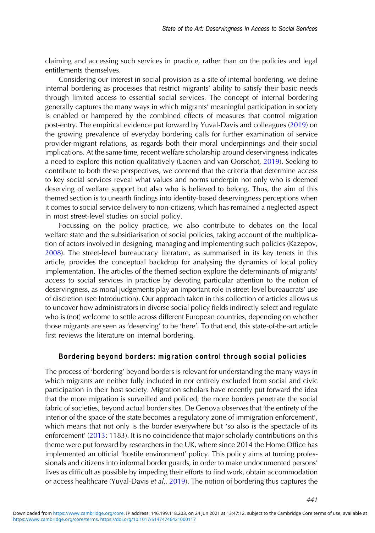claiming and accessing such services in practice, rather than on the policies and legal entitlements themselves.

Considering our interest in social provision as a site of internal bordering, we define internal bordering as processes that restrict migrants' ability to satisfy their basic needs through limited access to essential social services. The concept of internal bordering generally captures the many ways in which migrants' meaningful participation in society is enabled or hampered by the combined effects of measures that control migration post-entry. The empirical evidence put forward by Yuval-Davis and colleagues [\(2019](#page-11-0)) on the growing prevalence of everyday bordering calls for further examination of service provider-migrant relations, as regards both their moral underpinnings and their social implications. At the same time, recent welfare scholarship around deservingness indicates a need to explore this notion qualitatively (Laenen and van Oorschot, [2019\)](#page-9-0). Seeking to contribute to both these perspectives, we contend that the criteria that determine access to key social services reveal what values and norms underpin not only who is deemed deserving of welfare support but also who is believed to belong. Thus, the aim of this themed section is to unearth findings into identity-based deservingness perceptions when it comes to social service delivery to non-citizens, which has remained a neglected aspect in most street-level studies on social policy.

Focussing on the policy practice, we also contribute to debates on the local welfare state and the subsidiarisation of social policies, taking account of the multiplication of actors involved in designing, managing and implementing such policies (Kazepov, [2008](#page-9-0)). The street-level bureaucracy literature, as summarised in its key tenets in this article, provides the conceptual backdrop for analysing the dynamics of local policy implementation. The articles of the themed section explore the determinants of migrants' access to social services in practice by devoting particular attention to the notion of deservingness, as moral judgements play an important role in street-level bureaucrats' use of discretion (see Introduction). Our approach taken in this collection of articles allows us to uncover how administrators in diverse social policy fields indirectly select and regulate who is (not) welcome to settle across different European countries, depending on whether those migrants are seen as 'deserving' to be 'here'. To that end, this state-of-the-art article first reviews the literature on internal bordering.

## Bordering beyond borders: migration control through social policies

The process of 'bordering' beyond borders is relevant for understanding the many ways in which migrants are neither fully included in nor entirely excluded from social and civic participation in their host society. Migration scholars have recently put forward the idea that the more migration is surveilled and policed, the more borders penetrate the social fabric of societies, beyond actual border sites. De Genova observes that 'the entirety of the interior of the space of the state becomes a regulatory zone of immigration enforcement', which means that not only is the border everywhere but 'so also is the spectacle of its enforcement' ([2013:](#page-8-0) 1183). It is no coincidence that major scholarly contributions on this theme were put forward by researchers in the UK, where since 2014 the Home Office has implemented an official 'hostile environment' policy. This policy aims at turning professionals and citizens into informal border guards, in order to make undocumented persons' lives as difficult as possible by impeding their efforts to find work, obtain accommodation or access healthcare (Yuval-Davis et al., [2019\)](#page-11-0). The notion of bordering thus captures the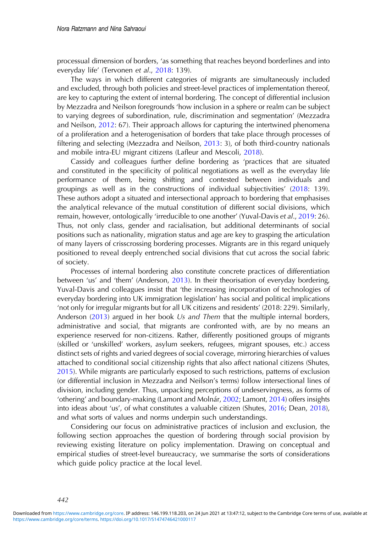processual dimension of borders, 'as something that reaches beyond borderlines and into everyday life' (Tervonen et al., [2018](#page-10-0): 139).

The ways in which different categories of migrants are simultaneously included and excluded, through both policies and street-level practices of implementation thereof, are key to capturing the extent of internal bordering. The concept of differential inclusion by Mezzadra and Neilson foregrounds 'how inclusion in a sphere or realm can be subject to varying degrees of subordination, rule, discrimination and segmentation' (Mezzadra and Neilson, [2012:](#page-10-0) 67). Their approach allows for capturing the intertwined phenomena of a proliferation and a heterogenisation of borders that take place through processes of filtering and selecting (Mezzadra and Neilson, [2013](#page-10-0): 3), of both third-country nationals and mobile intra-EU migrant citizens (Lafleur and Mescoli, [2018\)](#page-9-0).

Cassidy and colleagues further define bordering as 'practices that are situated and constituted in the specificity of political negotiations as well as the everyday life performance of them, being shifting and contested between individuals and groupings as well as in the constructions of individual subjectivities' ([2018:](#page-8-0) 139). These authors adopt a situated and intersectional approach to bordering that emphasises the analytical relevance of the mutual constitution of different social divisions, which remain, however, ontologically 'irreducible to one another' (Yuval-Davis et al., [2019:](#page-11-0) 26). Thus, not only class, gender and racialisation, but additional determinants of social positions such as nationality, migration status and age are key to grasping the articulation of many layers of crisscrossing bordering processes. Migrants are in this regard uniquely positioned to reveal deeply entrenched social divisions that cut across the social fabric of society.

Processes of internal bordering also constitute concrete practices of differentiation between 'us' and 'them' (Anderson, [2013](#page-8-0)). In their theorisation of everyday bordering, Yuval-Davis and colleagues insist that 'the increasing incorporation of technologies of everyday bordering into UK immigration legislation' has social and political implications 'not only for irregular migrants but for all UK citizens and residents' (2018: 229). Similarly, Anderson [\(2013\)](#page-8-0) argued in her book Us and Them that the multiple internal borders, administrative and social, that migrants are confronted with, are by no means an experience reserved for non-citizens. Rather, differently positioned groups of migrants (skilled or 'unskilled' workers, asylum seekers, refugees, migrant spouses, etc.) access distinct sets of rights and varied degrees of social coverage, mirroring hierarchies of values attached to conditional social citizenship rights that also affect national citizens (Shutes, [2015](#page-10-0)). While migrants are particularly exposed to such restrictions, patterns of exclusion (or differential inclusion in Mezzadra and Neilson's terms) follow intersectional lines of division, including gender. Thus, unpacking perceptions of undeservingness, as forms of 'othering' and boundary-making (Lamont and Molnár, [2002](#page-9-0); Lamont, [2014](#page-9-0)) offers insights into ideas about 'us', of what constitutes a valuable citizen (Shutes, [2016](#page-10-0); Dean, [2018\)](#page-8-0), and what sorts of values and norms underpin such understandings.

Considering our focus on administrative practices of inclusion and exclusion, the following section approaches the question of bordering through social provision by reviewing existing literature on policy implementation. Drawing on conceptual and empirical studies of street-level bureaucracy, we summarise the sorts of considerations which guide policy practice at the local level.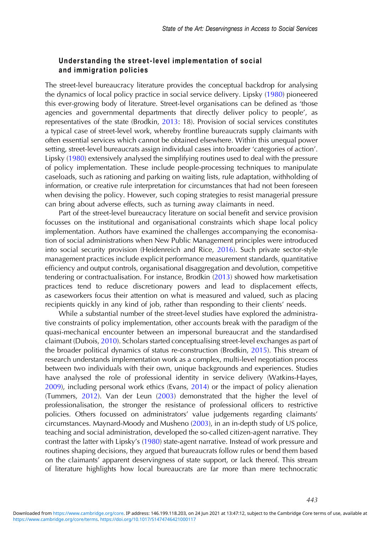## Understanding the street-level implementation of social and immigration policies

The street-level bureaucracy literature provides the conceptual backdrop for analysing the dynamics of local policy practice in social service delivery. Lipsky ([1980\)](#page-10-0) pioneered this ever-growing body of literature. Street-level organisations can be defined as 'those agencies and governmental departments that directly deliver policy to people', as representatives of the state (Brodkin, [2013](#page-8-0): 18). Provision of social services constitutes a typical case of street-level work, whereby frontline bureaucrats supply claimants with often essential services which cannot be obtained elsewhere. Within this unequal power setting, street-level bureaucrats assign individual cases into broader 'categories of action'. Lipsky ([1980](#page-10-0)) extensively analysed the simplifying routines used to deal with the pressure of policy implementation. These include people-processing techniques to manipulate caseloads, such as rationing and parking on waiting lists, rule adaptation, withholding of information, or creative rule interpretation for circumstances that had not been foreseen when devising the policy. However, such coping strategies to resist managerial pressure can bring about adverse effects, such as turning away claimants in need.

Part of the street-level bureaucracy literature on social benefit and service provision focusses on the institutional and organisational constraints which shape local policy implementation. Authors have examined the challenges accompanying the economisation of social administrations when New Public Management principles were introduced into social security provision (Heidenreich and Rice, [2016\)](#page-9-0). Such private sector-style management practices include explicit performance measurement standards, quantitative efficiency and output controls, organisational disaggregation and devolution, competitive tendering or contractualisation. For instance, Brodkin ([2013\)](#page-8-0) showed how marketisation practices tend to reduce discretionary powers and lead to displacement effects, as caseworkers focus their attention on what is measured and valued, such as placing recipients quickly in any kind of job, rather than responding to their clients' needs.

While a substantial number of the street-level studies have explored the administrative constraints of policy implementation, other accounts break with the paradigm of the quasi-mechanical encounter between an impersonal bureaucrat and the standardised claimant (Dubois, [2010\)](#page-9-0). Scholars started conceptualising street-level exchanges as part of the broader political dynamics of status re-construction (Brodkin, [2015](#page-8-0)). This stream of research understands implementation work as a complex, multi-level negotiation process between two individuals with their own, unique backgrounds and experiences. Studies have analysed the role of professional identity in service delivery (Watkins-Hayes, [2009](#page-11-0)), including personal work ethics (Evans, [2014\)](#page-9-0) or the impact of policy alienation (Tummers, [2012\)](#page-11-0). Van der Leun ([2003\)](#page-11-0) demonstrated that the higher the level of professionalisation, the stronger the resistance of professional officers to restrictive policies. Others focussed on administrators' value judgements regarding claimants' circumstances. Maynard-Moody and Musheno [\(2003](#page-10-0)), in an in-depth study of US police, teaching and social administration, developed the so-called citizen-agent narrative. They contrast the latter with Lipsky's [\(1980](#page-10-0)) state-agent narrative. Instead of work pressure and routines shaping decisions, they argued that bureaucrats follow rules or bend them based on the claimants' apparent deservingness of state support, or lack thereof. This stream of literature highlights how local bureaucrats are far more than mere technocratic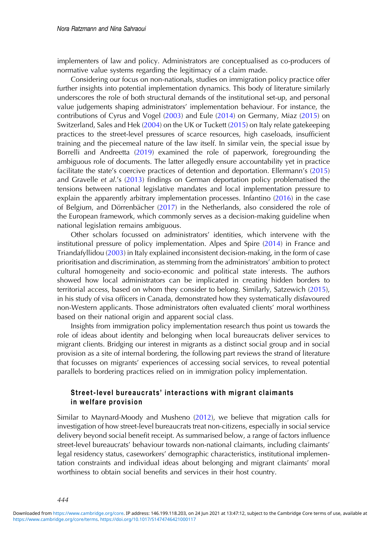implementers of law and policy. Administrators are conceptualised as co-producers of normative value systems regarding the legitimacy of a claim made.

Considering our focus on non-nationals, studies on immigration policy practice offer further insights into potential implementation dynamics. This body of literature similarly underscores the role of both structural demands of the institutional set-up, and personal value judgements shaping administrators' implementation behaviour. For instance, the contributions of Cyrus and Vogel [\(2003](#page-8-0)) and Eule ([2014\)](#page-9-0) on Germany, Miaz ([2015\)](#page-10-0) on Switzerland, Sales and Hek [\(2004](#page-10-0)) on the UK or Tuckett ([2015\)](#page-11-0) on Italy relate gatekeeping practices to the street-level pressures of scarce resources, high caseloads, insufficient training and the piecemeal nature of the law itself. In similar vein, the special issue by Borrelli and Andreetta ([2019](#page-8-0)) examined the role of paperwork, foregrounding the ambiguous role of documents. The latter allegedly ensure accountability yet in practice facilitate the state's coercive practices of detention and deportation. Ellermann's [\(2015](#page-9-0)) and Gravelle et al.'s [\(2013](#page-9-0)) findings on German deportation policy problematised the tensions between national legislative mandates and local implementation pressure to explain the apparently arbitrary implementation processes. Infantino ([2016\)](#page-9-0) in the case of Belgium, and Dörrenbächer [\(2017](#page-9-0)) in the Netherlands, also considered the role of the European framework, which commonly serves as a decision-making guideline when national legislation remains ambiguous.

Other scholars focussed on administrators' identities, which intervene with the institutional pressure of policy implementation. Alpes and Spire [\(2014](#page-8-0)) in France and Triandafyllidou ([2003\)](#page-11-0) in Italy explained inconsistent decision-making, in the form of case prioritisation and discrimination, as stemming from the administrators' ambition to protect cultural homogeneity and socio-economic and political state interests. The authors showed how local administrators can be implicated in creating hidden borders to territorial access, based on whom they consider to belong. Similarly, Satzewich ([2015\)](#page-10-0), in his study of visa officers in Canada, demonstrated how they systematically disfavoured non-Western applicants. Those administrators often evaluated clients' moral worthiness based on their national origin and apparent social class.

Insights from immigration policy implementation research thus point us towards the role of ideas about identity and belonging when local bureaucrats deliver services to migrant clients. Bridging our interest in migrants as a distinct social group and in social provision as a site of internal bordering, the following part reviews the strand of literature that focusses on migrants' experiences of accessing social services, to reveal potential parallels to bordering practices relied on in immigration policy implementation.

# Street-level bureaucrats' interactions with migrant claimants in welfare provision

Similar to Maynard-Moody and Musheno [\(2012](#page-10-0)), we believe that migration calls for investigation of how street-level bureaucrats treat non-citizens, especially in social service delivery beyond social benefit receipt. As summarised below, a range of factors influence street-level bureaucrats' behaviour towards non-national claimants, including claimants' legal residency status, caseworkers' demographic characteristics, institutional implementation constraints and individual ideas about belonging and migrant claimants' moral worthiness to obtain social benefits and services in their host country.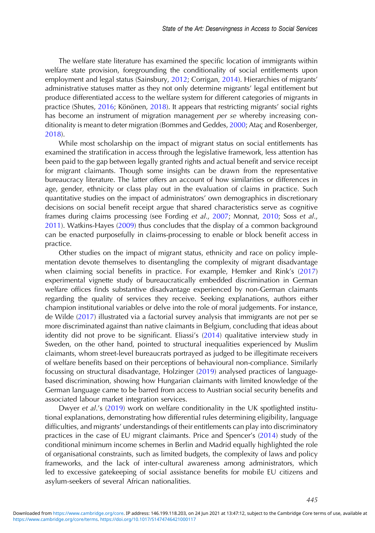The welfare state literature has examined the specific location of immigrants within welfare state provision, foregrounding the conditionality of social entitlements upon employment and legal status (Sainsbury, [2012;](#page-10-0) Corrigan, [2014](#page-8-0)). Hierarchies of migrants' administrative statuses matter as they not only determine migrants' legal entitlement but produce differentiated access to the welfare system for different categories of migrants in practice (Shutes, [2016](#page-10-0); Könönen, [2018\)](#page-9-0). It appears that restricting migrants' social rights has become an instrument of migration management per se whereby increasing conditionality is meant to deter migration (Bommes and Geddes, [2000](#page-8-0); Ataç and Rosenberger, [2018](#page-8-0)).

While most scholarship on the impact of migrant status on social entitlements has examined the stratification in access through the legislative framework, less attention has been paid to the gap between legally granted rights and actual benefit and service receipt for migrant claimants. Though some insights can be drawn from the representative bureaucracy literature. The latter offers an account of how similarities or differences in age, gender, ethnicity or class play out in the evaluation of claims in practice. Such quantitative studies on the impact of administrators' own demographics in discretionary decisions on social benefit receipt argue that shared characteristics serve as cognitive frames during claims processing (see Fording et al., [2007;](#page-9-0) Monnat, [2010](#page-10-0); Soss et al., [2011](#page-10-0)). Watkins-Hayes [\(2009](#page-11-0)) thus concludes that the display of a common background can be enacted purposefully in claims-processing to enable or block benefit access in practice.

Other studies on the impact of migrant status, ethnicity and race on policy implementation devote themselves to disentangling the complexity of migrant disadvantage when claiming social benefits in practice. For example, Hemker and Rink's [\(2017](#page-9-0)) experimental vignette study of bureaucratically embedded discrimination in German welfare offices finds substantive disadvantage experienced by non-German claimants regarding the quality of services they receive. Seeking explanations, authors either champion institutional variables or delve into the role of moral judgements. For instance, de Wilde ([2017\)](#page-9-0) illustrated via a factorial survey analysis that immigrants are not per se more discriminated against than native claimants in Belgium, concluding that ideas about identity did not prove to be significant. Eliassi's ([2014](#page-9-0)) qualitative interview study in Sweden, on the other hand, pointed to structural inequalities experienced by Muslim claimants, whom street-level bureaucrats portrayed as judged to be illegitimate receivers of welfare benefits based on their perceptions of behavioural non-compliance. Similarly focussing on structural disadvantage, Holzinger ([2019\)](#page-9-0) analysed practices of languagebased discrimination, showing how Hungarian claimants with limited knowledge of the German language came to be barred from access to Austrian social security benefits and associated labour market integration services.

Dwyer et al.'s ([2019\)](#page-9-0) work on welfare conditionality in the UK spotlighted institutional explanations, demonstrating how differential rules determining eligibility, language difficulties, and migrants' understandings of their entitlements can play into discriminatory practices in the case of EU migrant claimants. Price and Spencer's ([2014\)](#page-10-0) study of the conditional minimum income schemes in Berlin and Madrid equally highlighted the role of organisational constraints, such as limited budgets, the complexity of laws and policy frameworks, and the lack of inter-cultural awareness among administrators, which led to excessive gatekeeping of social assistance benefits for mobile EU citizens and asylum-seekers of several African nationalities.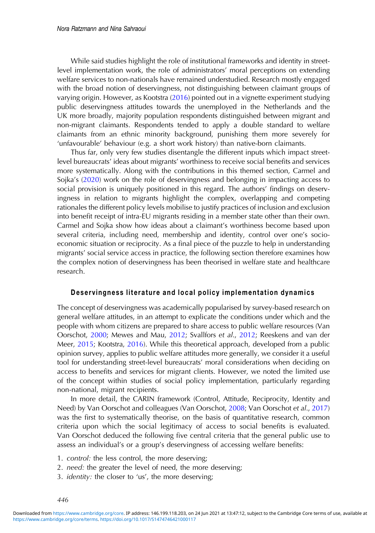While said studies highlight the role of institutional frameworks and identity in streetlevel implementation work, the role of administrators' moral perceptions on extending welfare services to non-nationals have remained understudied. Research mostly engaged with the broad notion of deservingness, not distinguishing between claimant groups of varying origin. However, as Kootstra [\(2016](#page-9-0)) pointed out in a vignette experiment studying public deservingness attitudes towards the unemployed in the Netherlands and the UK more broadly, majority population respondents distinguished between migrant and non-migrant claimants. Respondents tended to apply a double standard to welfare claimants from an ethnic minority background, punishing them more severely for 'unfavourable' behaviour (e.g. a short work history) than native-born claimants.

Thus far, only very few studies disentangle the different inputs which impact streetlevel bureaucrats' ideas about migrants' worthiness to receive social benefits and services more systematically. Along with the contributions in this themed section, Carmel and Sojka's [\(2020](#page-8-0)) work on the role of deservingness and belonging in impacting access to social provision is uniquely positioned in this regard. The authors' findings on deservingness in relation to migrants highlight the complex, overlapping and competing rationales the different policy levels mobilise to justify practices of inclusion and exclusion into benefit receipt of intra-EU migrants residing in a member state other than their own. Carmel and Sojka show how ideas about a claimant's worthiness become based upon several criteria, including need, membership and identity, control over one's socioeconomic situation or reciprocity. As a final piece of the puzzle to help in understanding migrants' social service access in practice, the following section therefore examines how the complex notion of deservingness has been theorised in welfare state and healthcare research.

#### Deservingness literature and local policy implementation dynamics

The concept of deservingness was academically popularised by survey-based research on general welfare attitudes, in an attempt to explicate the conditions under which and the people with whom citizens are prepared to share access to public welfare resources (Van Oorschot, [2000](#page-11-0); Mewes and Mau, [2012;](#page-10-0) Svallfors et al., [2012](#page-10-0); Reeskens and van der Meer, [2015](#page-10-0); Kootstra, [2016\)](#page-9-0). While this theoretical approach, developed from a public opinion survey, applies to public welfare attitudes more generally, we consider it a useful tool for understanding street-level bureaucrats' moral considerations when deciding on access to benefits and services for migrant clients. However, we noted the limited use of the concept within studies of social policy implementation, particularly regarding non-national, migrant recipients.

In more detail, the CARIN framework (Control, Attitude, Reciprocity, Identity and Need) by Van Oorschot and colleagues (Van Oorschot, [2008;](#page-11-0) Van Oorschot et al., [2017](#page-11-0)) was the first to systematically theorise, on the basis of quantitative research, common criteria upon which the social legitimacy of access to social benefits is evaluated. Van Oorschot deduced the following five central criteria that the general public use to assess an individual's or a group's deservingness of accessing welfare benefits:

- 1. control: the less control, the more deserving;
- 2. need: the greater the level of need, the more deserving;
- 3. *identity*: the closer to 'us', the more deserving;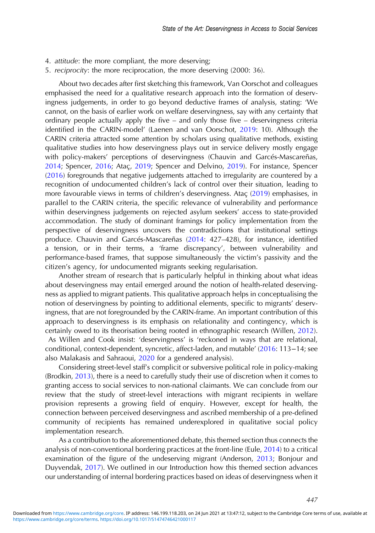- 4. attitude: the more compliant, the more deserving;
- 5. reciprocity: the more reciprocation, the more deserving (2000: 36).

About two decades after first sketching this framework, Van Oorschot and colleagues emphasised the need for a qualitative research approach into the formation of deservingness judgements, in order to go beyond deductive frames of analysis, stating: 'We cannot, on the basis of earlier work on welfare deservingness, say with any certainty that ordinary people actually apply the five – and only those five – deservingness criteria identified in the CARIN-model' (Laenen and van Oorschot, [2019:](#page-9-0) 10). Although the CARIN criteria attracted some attention by scholars using qualitative methods, existing qualitative studies into how deservingness plays out in service delivery mostly engage with policy-makers' perceptions of deservingness (Chauvin and Garcés-Mascareñas, [2014](#page-8-0); Spencer, [2016](#page-10-0); Ataç, [2019](#page-8-0); Spencer and Delvino, [2019\)](#page-10-0). For instance, Spencer ([2016\)](#page-10-0) foregrounds that negative judgements attached to irregularity are countered by a recognition of undocumented children's lack of control over their situation, leading to more favourable views in terms of children's deservingness. Ataç ([2019\)](#page-8-0) emphasises, in parallel to the CARIN criteria, the specific relevance of vulnerability and performance within deservingness judgements on rejected asylum seekers' access to state-provided accommodation. The study of dominant framings for policy implementation from the perspective of deservingness uncovers the contradictions that institutional settings produce. Chauvin and Garcés-Mascareñas ([2014](#page-8-0): 427-428), for instance, identified a tension, or in their terms, a 'frame discrepancy', between vulnerability and performance-based frames, that suppose simultaneously the victim's passivity and the citizen's agency, for undocumented migrants seeking regularisation.

Another stream of research that is particularly helpful in thinking about what ideas about deservingness may entail emerged around the notion of health-related deservingness as applied to migrant patients. This qualitative approach helps in conceptualising the notion of deservingness by pointing to additional elements, specific to migrants' deservingness, that are not foregrounded by the CARIN-frame. An important contribution of this approach to deservingness is its emphasis on relationality and contingency, which is certainly owed to its theorisation being rooted in ethnographic research (Willen, [2012\)](#page-11-0). As Willen and Cook insist: 'deservingness' is 'reckoned in ways that are relational, conditional, context-dependent, syncretic, affect-laden, and mutable' ([2016:](#page-11-0) 113−14; see also Malakasis and Sahraoui, [2020](#page-10-0) for a gendered analysis).

Considering street-level staff's complicit or subversive political role in policy-making (Brodkin, [2013\)](#page-8-0), there is a need to carefully study their use of discretion when it comes to granting access to social services to non-national claimants. We can conclude from our review that the study of street-level interactions with migrant recipients in welfare provision represents a growing field of enquiry. However, except for health, the connection between perceived deservingness and ascribed membership of a pre-defined community of recipients has remained underexplored in qualitative social policy implementation research.

As a contribution to the aforementioned debate, this themed section thus connects the analysis of non-conventional bordering practices at the front-line (Eule, [2014](#page-9-0)) to a critical examination of the figure of the undeserving migrant (Anderson, [2013;](#page-8-0) Bonjour and Duyvendak, [2017\)](#page-8-0). We outlined in our Introduction how this themed section advances our understanding of internal bordering practices based on ideas of deservingness when it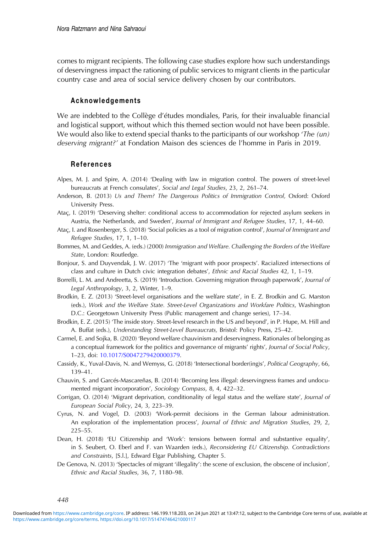<span id="page-8-0"></span>comes to migrant recipients. The following case studies explore how such understandings of deservingness impact the rationing of public services to migrant clients in the particular country case and area of social service delivery chosen by our contributors.

#### Acknowledgements

We are indebted to the Collège d'études mondiales, Paris, for their invaluable financial and logistical support, without which this themed section would not have been possible. We would also like to extend special thanks to the participants of our workshop 'The  $(u_n)$ deserving migrant?' at Fondation Maison des sciences de l'homme in Paris in 2019.

#### References

- Alpes, M. J. and Spire, A. (2014) 'Dealing with law in migration control. The powers of street-level bureaucrats at French consulates', Social and Legal Studies, 23, 2, 261–74.
- Anderson, B. (2013) Us and Them? The Dangerous Politics of Immigration Control, Oxford: Oxford University Press.
- Ataç, I. (2019) 'Deserving shelter: conditional access to accommodation for rejected asylum seekers in Austria, the Netherlands, and Sweden', Journal of Immigrant and Refugee Studies, 17, 1, 44–60.
- Ataç, I. and Rosenberger, S. (2018) 'Social policies as a tool of migration control', Journal of Immigrant and Refugee Studies, 17, 1, 1–10.
- Bommes, M. and Geddes, A. (eds.) (2000) Immigration and Welfare. Challenging the Borders of the Welfare State, London: Routledge.
- Bonjour, S. and Duyvendak, J. W. (2017) 'The 'migrant with poor prospects'. Racialized intersections of class and culture in Dutch civic integration debates', Ethnic and Racial Studies 42, 1, 1–19.
- Borrelli, L. M. and Andreetta, S. (2019) 'Introduction. Governing migration through paperwork', Journal of Legal Anthropology, 3, 2, Winter, 1–9.
- Brodkin, E. Z. (2013) 'Street-level organisations and the welfare state', in E. Z. Brodkin and G. Marston (eds.), Work and the Welfare State. Street-Level Organizations and Workfare Politics, Washington D.C.: Georgetown University Press (Public management and change series), 17–34.
- Brodkin, E. Z. (2015) 'The inside story. Street-level research in the US and beyond', in P. Hupe, M. Hill and A. Buffat (eds.), Understanding Street-Level Bureaucrats, Bristol: Policy Press, 25–42.
- Carmel, E. and Sojka, B. (2020) 'Beyond welfare chauvinism and deservingness. Rationales of belonging as a conceptual framework for the politics and governance of migrants' rights', Journal of Social Policy, 1–23, doi: [10.1017/S0047279420000379.](https://doi.org/10.1017/S0047279420000379)
- Cassidy, K., Yuval-Davis, N. and Wemyss, G. (2018) 'Intersectional border(ing)s', Political Geography, 66, 139–41.
- Chauvin, S. and Garcés-Mascareñas, B. (2014) 'Becoming less illegal: deservingness frames and undocumented migrant incorporation', Sociology Compass, 8, 4, 422–32.
- Corrigan, O. (2014) 'Migrant deprivation, conditionality of legal status and the welfare state', Journal of European Social Policy, 24, 3, 223–39.
- Cyrus, N. and Vogel, D. (2003) 'Work-permit decisions in the German labour administration. An exploration of the implementation process', Journal of Ethnic and Migration Studies, 29, 2, 225–55.
- Dean, H. (2018) 'EU Citizenship and 'Work': tensions between formal and substantive equality', in S. Seubert, O. Eberl and F. van Waarden (eds.), Reconsidering EU Citizenship. Contradictions and Constraints, [S.l.], Edward Elgar Publishing, Chapter 5.
- De Genova, N. (2013) 'Spectacles of migrant 'illegality': the scene of exclusion, the obscene of inclusion', Ethnic and Racial Studies, 36, 7, 1180–98.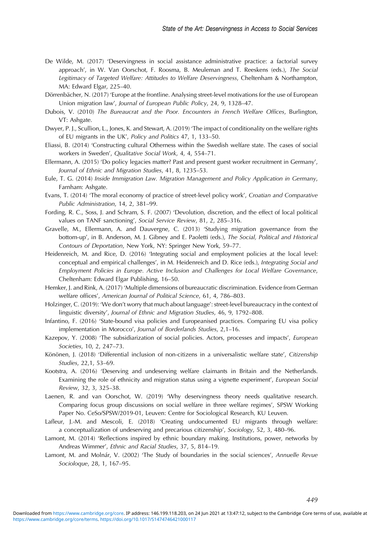- <span id="page-9-0"></span>De Wilde, M. (2017) 'Deservingness in social assistance administrative practice: a factorial survey approach', in W. Van Oorschot, F. Roosma, B. Meuleman and T. Reeskens (eds.), The Social Legitimacy of Targeted Welfare: Attitudes to Welfare Deservingness, Cheltenham & Northampton, MA: Edward Elgar, 225–40.
- Dörrenbächer, N. (2017) 'Europe at the frontline. Analysing street-level motivations for the use of European Union migration law', Journal of European Public Policy, 24, 9, 1328–47.
- Dubois, V. (2010) The Bureaucrat and the Poor. Encounters in French Welfare Offices, Burlington, VT: Ashgate.
- Dwyer, P. J., Scullion, L., Jones, K. and Stewart, A. (2019) 'The impact of conditionality on the welfare rights of EU migrants in the UK', Policy and Politics 47, 1, 133–50.
- Eliassi, B. (2014) 'Constructing cultural Otherness within the Swedish welfare state. The cases of social workers in Sweden', Qualitative Social Work, 4, 4, 554–71.
- Ellermann, A. (2015) 'Do policy legacies matter? Past and present guest worker recruitment in Germany', Journal of Ethnic and Migration Studies, 41, 8, 1235–53.
- Eule, T. G. (2014) Inside Immigration Law. Migration Management and Policy Application in Germany, Farnham: Ashgate.
- Evans, T. (2014) 'The moral economy of practice of street-level policy work', Croatian and Comparative Public Administration, 14, 2, 381–99.
- Fording, R. C., Soss, J. and Schram, S. F. (2007) 'Devolution, discretion, and the effect of local political values on TANF sanctioning', Social Service Review, 81, 2, 285–316.
- Gravelle, M., Ellermann, A. and Dauvergne, C. (2013) 'Studying migration governance from the bottom-up', in B. Anderson, M. J. Gibney and E. Paoletti (eds.), The Social, Political and Historical Contours of Deportation, New York, NY: Springer New York, 59–77.
- Heidenreich, M. and Rice, D. (2016) 'Integrating social and employment policies at the local level: conceptual and empirical challenges', in M. Heidenreich and D. Rice (eds.), Integrating Social and Employment Policies in Europe. Active Inclusion and Challenges for Local Welfare Governance, Cheltenham: Edward Elgar Publishing, 16–50.
- Hemker, J. and Rink, A. (2017) 'Multiple dimensions of bureaucratic discrimination. Evidence from German welfare offices', American Journal of Political Science, 61, 4, 786–803.
- Holzinger, C. (2019): 'We don't worry that much about language': street-level bureaucracy in the context of linguistic diversity', Journal of Ethnic and Migration Studies, 46, 9, 1792–808.
- Infantino, F. (2016) 'State-bound visa policies and Europeanised practices. Comparing EU visa policy implementation in Morocco', Journal of Borderlands Studies, 2,1–16.
- Kazepov, Y. (2008) 'The subsidiarization of social policies. Actors, processes and impacts', European Societies, 10, 2, 247–73.
- Könönen, J. (2018) 'Differential inclusion of non-citizens in a universalistic welfare state', Citizenship Studies, 22,1, 53–69.
- Kootstra, A. (2016) 'Deserving and undeserving welfare claimants in Britain and the Netherlands. Examining the role of ethnicity and migration status using a vignette experiment', European Social Review, 32, 3, 325–38.
- Laenen, R. and van Oorschot, W. (2019) 'Why deservingness theory needs qualitative research. Comparing focus group discussions on social welfare in three welfare regimes', SPSW Working Paper No. CeSo/SPSW/2019-01, Leuven: Centre for Sociological Research, KU Leuven.
- Lafleur, J.-M. and Mescoli, E. (2018) 'Creating undocumented EU migrants through welfare: a conceptualization of undeserving and precarious citizenship', Sociology, 52, 3, 480–96.
- Lamont, M. (2014) 'Reflections inspired by ethnic boundary making. Institutions, power, networks by Andreas Wimmer', Ethnic and Racial Studies, 37, 5, 814–19.
- Lamont, M. and Molnár, V. (2002) 'The Study of boundaries in the social sciences', Annuelle Revue Socioloque, 28, 1, 167–95.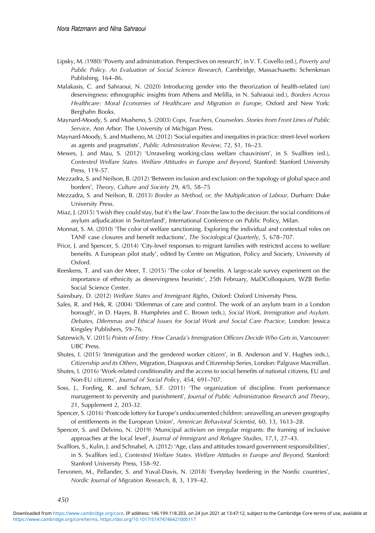- <span id="page-10-0"></span>Lipsky, M. (1980) 'Poverty and administration. Perspectives on research', in V. T. Covello (ed.), Poverty and Public Policy. An Evaluation of Social Science Research, Cambridge, Massachusetts: Schenkman Publishing, 164–86.
- Malakasis, C. and Sahraoui, N. (2020) Introducing gender into the theorization of health-related (un) deservingness: ethnographic insights from Athens and Melilla, in N. Sahraoui (ed.), Borders Across Healthcare: Moral Economies of Healthcare and Migration in Europe, Oxford and New York: Berghahn Books.
- Maynard-Moody, S. and Musheno, S. (2003) Cops, Teachers, Counselors. Stories from Front Lines of Public Service, Ann Arbor: The University of Michigan Press.
- Maynard-Moody, S. and Musheno, M. (2012) 'Social equities and inequities in practice: street-level workers as agents and pragmatists', Public Administration Review, 72, S1, 16–23.
- Mewes, J. and Mau, S. (2012) 'Unraveling working-class welfare chauvinism', in S. Svallfors (ed.), Contested Welfare States. Welfare Attitudes in Europe and Beyond, Stanford: Stanford University Press, 119–57.
- Mezzadra, S. and Neilson, B. (2012) 'Between inclusion and exclusion: on the topology of global space and borders', Theory, Culture and Society 29, 4/5, 58–75
- Mezzadra, S. and Neilson, B. (2013) Border as Method, or, the Multiplication of Labour, Durham: Duke University Press.
- Miaz, J. (2015) 'I wish they could stay, but it's the law'. From the law to the decision: the social conditions of asylum adjudication in Switzerland', International Conference on Public Policy, Milan.
- Monnat, S. M. (2010) 'The color of welfare sanctioning. Exploring the individual and contextual roles on TANF case closures and benefit reductions', The Sociological Quarterly, 5, 678–707.
- Price, J. and Spencer, S. (2014) 'City-level responses to migrant families with restricted access to welfare benefits. A European pilot study', edited by Centre on Migration, Policy and Society, University of Oxford.
- Reeskens, T. and van der Meer, T. (2015) 'The color of benefits. A large-scale survey experiment on the importance of ethnicity as deservingness heuristic', 25th February, MaDColloquium, WZB Berlin Social Science Center.
- Sainsbury, D. (2012) Welfare States and Immigrant Rights, Oxford: Oxford University Press.
- Sales, R. and Hek, R. (2004) 'Dilemmas of care and control. The work of an asylum team in a London borough', in D. Hayes, B. Humphries and C. Brown (eds.), Social Work, Immigration and Asylum. Debates, Dilemmas and Ethical Issues for Social Work and Social Care Practice, London: Jessica Kingsley Publishers, 59–76.
- Satzewich, V. (2015) Points of Entry. How Canada's Immigration Officers Decide Who Gets in, Vancouver: UBC Press.
- Shutes, I. (2015) 'Immigration and the gendered worker citizen', in B. Anderson and V. Hughes (eds.), Citizenship and its Others, Migration, Diasporas and Citizenship Series, London: Palgrave Macmillan.
- Shutes, I. (2016) 'Work-related conditionality and the access to social benefits of national citizens, EU and Non-EU citizens', Journal of Social Policy, 454, 691–707.
- Soss, J., Fording, R. and Schram, S.F. (2011) 'The organization of discipline. From performance management to perversity and punishment', Journal of Public Administration Research and Theory, 21, Supplement 2, 203-32.
- Spencer, S. (2016) 'Postcode lottery for Europe's undocumented children: unravelling an uneven geography of entitlements in the European Union', American Behavioral Scientist, 60, 13, 1613–28.
- Spencer, S. and Delvino, N. (2019) 'Municipal activism on irregular migrants: the framing of inclusive approaches at the local level', Journal of Immigrant and Refugee Studies, 17,1, 27–43.
- Svallfors, S., Kulin, J. and Schnabel, A. (2012) 'Age, class and attitudes toward government responsibilities', in S. Svallfors (ed.), Contested Welfare States. Welfare Attitudes in Europe and Beyond, Stanford: Stanford University Press, 158–92.
- Tervonen, M., Pellander, S. and Yuval-Davis, N. (2018) 'Everyday bordering in the Nordic countries', Nordic Journal of Migration Research, 8, 3, 139–42.